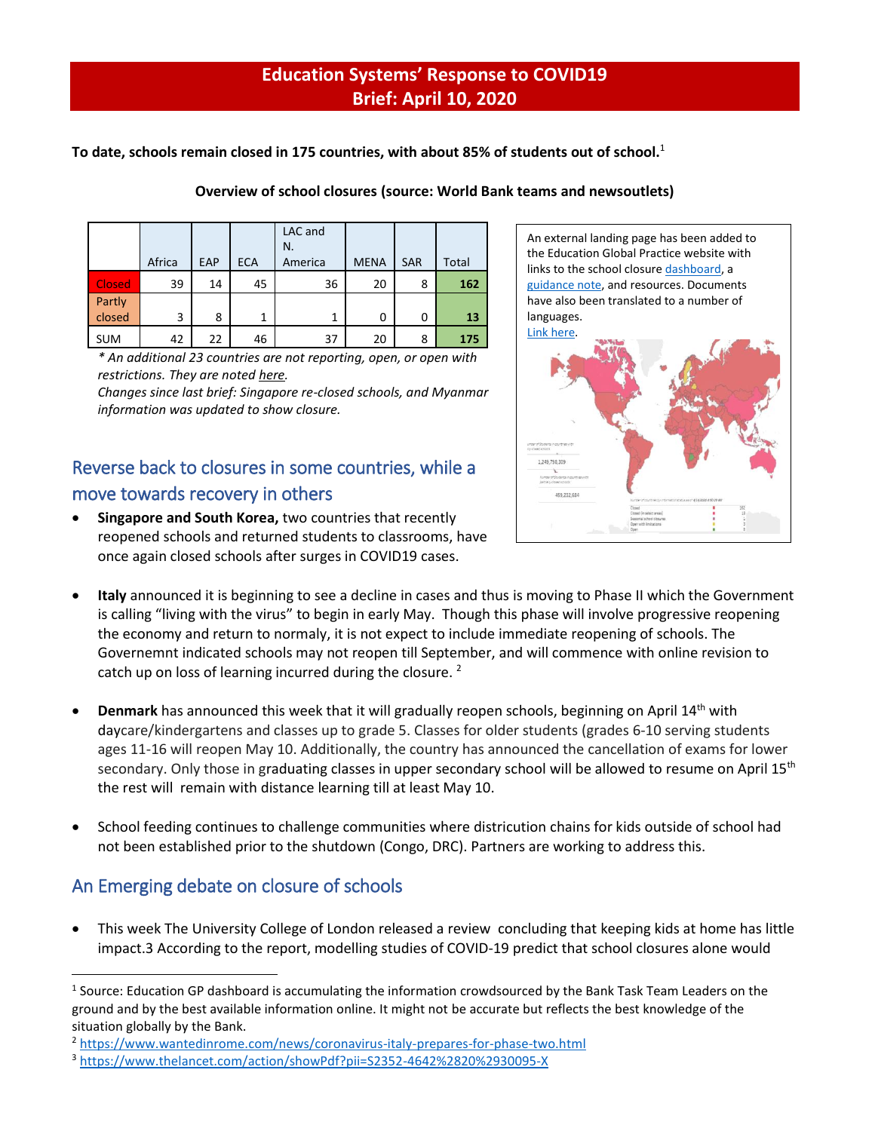### **Education Systems' Response to COVID19 Brief: April 10, 2020**

**To date, schools remain closed in 175 countries, with about 85% of students out of school.** 1

|                  | Africa | EAP | <b>ECA</b> | LAC and<br>N.<br>America | <b>MENA</b> | <b>SAR</b> | Total |
|------------------|--------|-----|------------|--------------------------|-------------|------------|-------|
| <b>Closed</b>    | 39     | 14  | 45         | 36                       | 20          | 8          | 162   |
| Partly<br>closed | 3      | 8   | 1          | 1                        | 0           | 0          | 13    |
| <b>SUM</b>       | 42     | 22  | 46         | 37                       | 20          | 8          | 175   |

#### **Overview of school closures (source: World Bank teams and newsoutlets)**

*\* An additional 23 countries are not reporting, open, or open with restrictions. They are noted [here.](https://tab.worldbank.org/#/site/WBG/views/covid19/dsh_simple?:display_count=n&:showVizHome=n&:origin=viz_share_link&:iid=1)*

*Changes since last brief: Singapore re-closed schools, and Myanmar information was updated to show closure.* 

# Reverse back to closures in some countries, while a move towards recovery in others

• **Singapore and South Korea,** two countries that recently reopened schools and returned students to classrooms, have once again closed schools after surges in COVID19 cases.



- **Italy** announced it is beginning to see a decline in cases and thus is moving to Phase II which the Government is calling "living with the virus" to begin in early May. Though this phase will involve progressive reopening the economy and return to normaly, it is not expect to include immediate reopening of schools. The Governemnt indicated schools may not reopen till September, and will commence with online revision to catch up on loss of learning incurred during the closure.<sup>2</sup>
- **Denmark** has announced this week that it will gradually reopen schools, beginning on April 14th with daycare/kindergartens and classes up to grade 5. Classes for older students (grades 6-10 serving students ages 11-16 will reopen May 10. Additionally, the country has announced the cancellation of exams for lower secondary. Only those in graduating classes in upper secondary school will be allowed to resume on April 15<sup>th</sup> the rest will remain with distance learning till at least May 10.
- School feeding continues to challenge communities where districution chains for kids outside of school had not been established prior to the shutdown (Congo, DRC). Partners are working to address this.

## An Emerging debate on closure of schools

 $\overline{a}$ 

• This week The University College of London released a review concluding that keeping kids at home has little impact.3 According to the report, modelling studies of COVID-19 predict that school closures alone would

<sup>&</sup>lt;sup>1</sup> Source: Education GP dashboard is accumulating the information crowdsourced by the Bank Task Team Leaders on the ground and by the best available information online. It might not be accurate but reflects the best knowledge of the situation globally by the Bank.

<sup>2</sup> <https://www.wantedinrome.com/news/coronavirus-italy-prepares-for-phase-two.html>

<sup>3</sup> <https://www.thelancet.com/action/showPdf?pii=S2352-4642%2820%2930095-X>